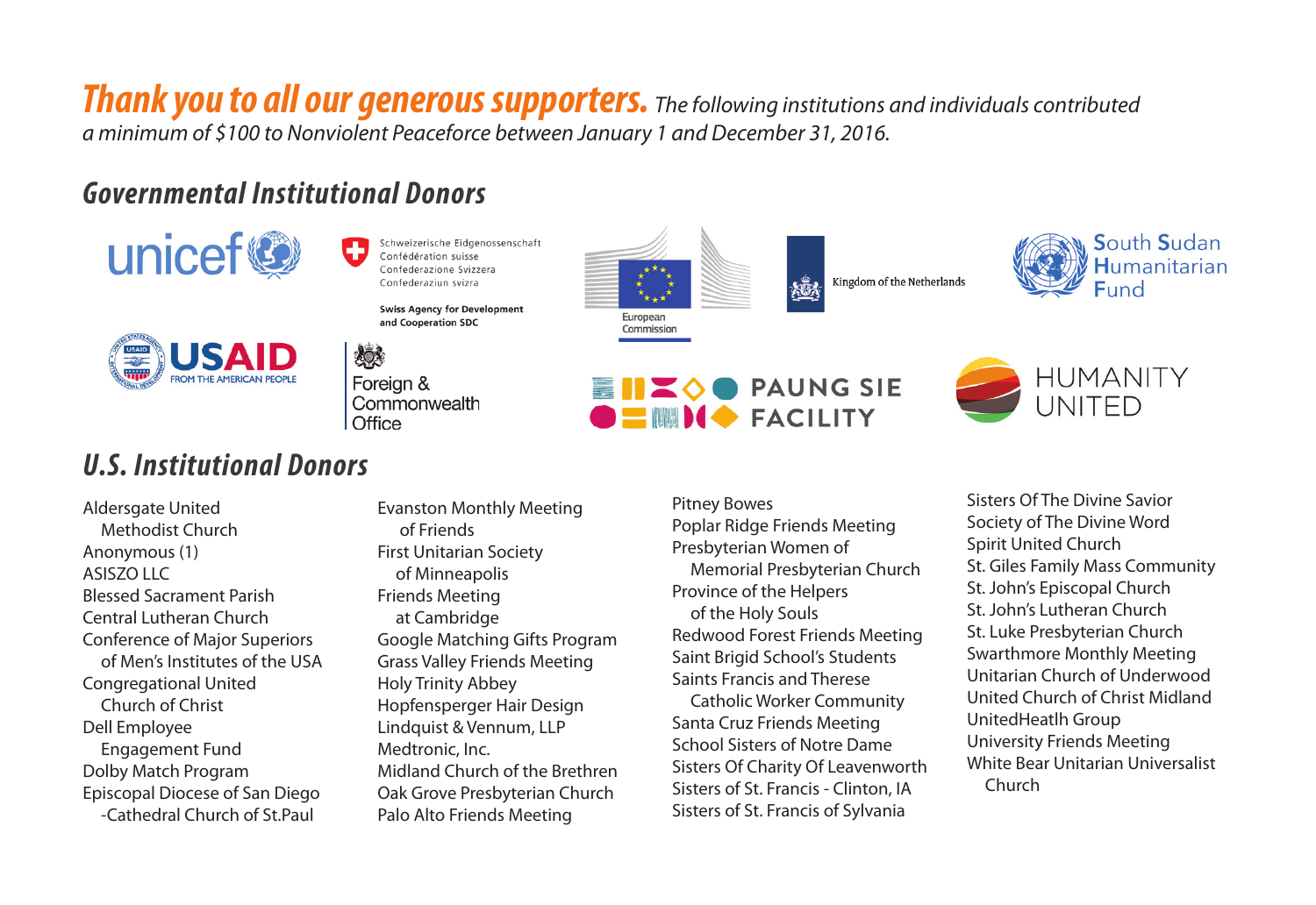*Thank you to all our generous supporters. The following institutions and individuals contributed a minimum of \$100 to Nonviolent Peaceforce between January 1 and December 31, 2016.*

# *Governmental Institutional Donors*



Schweizerische Eidgenossenschaft Confédération suisse Confederazione Svizzera Confederaziun svizra

**Swiss Agency for Development** and Cooperation SDC



燃 Foreign & Commonwealth Office

# *U.S. Institutional Donors*

Aldersgate United Methodist Church Anonymous (1) ASISZO LLC Blessed Sacrament Parish Central Lutheran Church Conference of Major Superiors of Men's Institutes of the USA Congregational United Church of Christ Dell Employee Engagement Fund Dolby Match Program Episcopal Diocese of San Diego -Cathedral Church of St.Paul

Evanston Monthly Meeting of Friends First Unitarian Society of Minneapolis Friends Meeting at Cambridge Google Matching Gifts Program Grass Valley Friends Meeting Holy Trinity Abbey Hopfensperger Hair Design Lindquist & Vennum, LLP Medtronic, Inc. Midland Church of the Brethren Oak Grove Presbyterian Church Palo Alto Friends Meeting

Pitney Bowes Poplar Ridge Friends Meeting Presbyterian Women of Memorial Presbyterian Church Province of the Helpers of the Holy Souls Redwood Forest Friends Meeting Saint Brigid School's Students Saints Francis and Therese Catholic Worker Community Santa Cruz Friends Meeting School Sisters of Notre Dame Sisters Of Charity Of Leavenworth Sisters of St. Francis - Clinton, IA Sisters of St. Francis of Sylvania



**HUMANITY** UNITED

Sisters Of The Divine Savior Society of The Divine Word Spirit United Church St. Giles Family Mass Community St. John's Episcopal Church St. John's Lutheran Church St. Luke Presbyterian Church Swarthmore Monthly Meeting Unitarian Church of Underwood United Church of Christ Midland UnitedHeatlh Group University Friends Meeting White Bear Unitarian Universalist Church





Kingdom of the Netherlands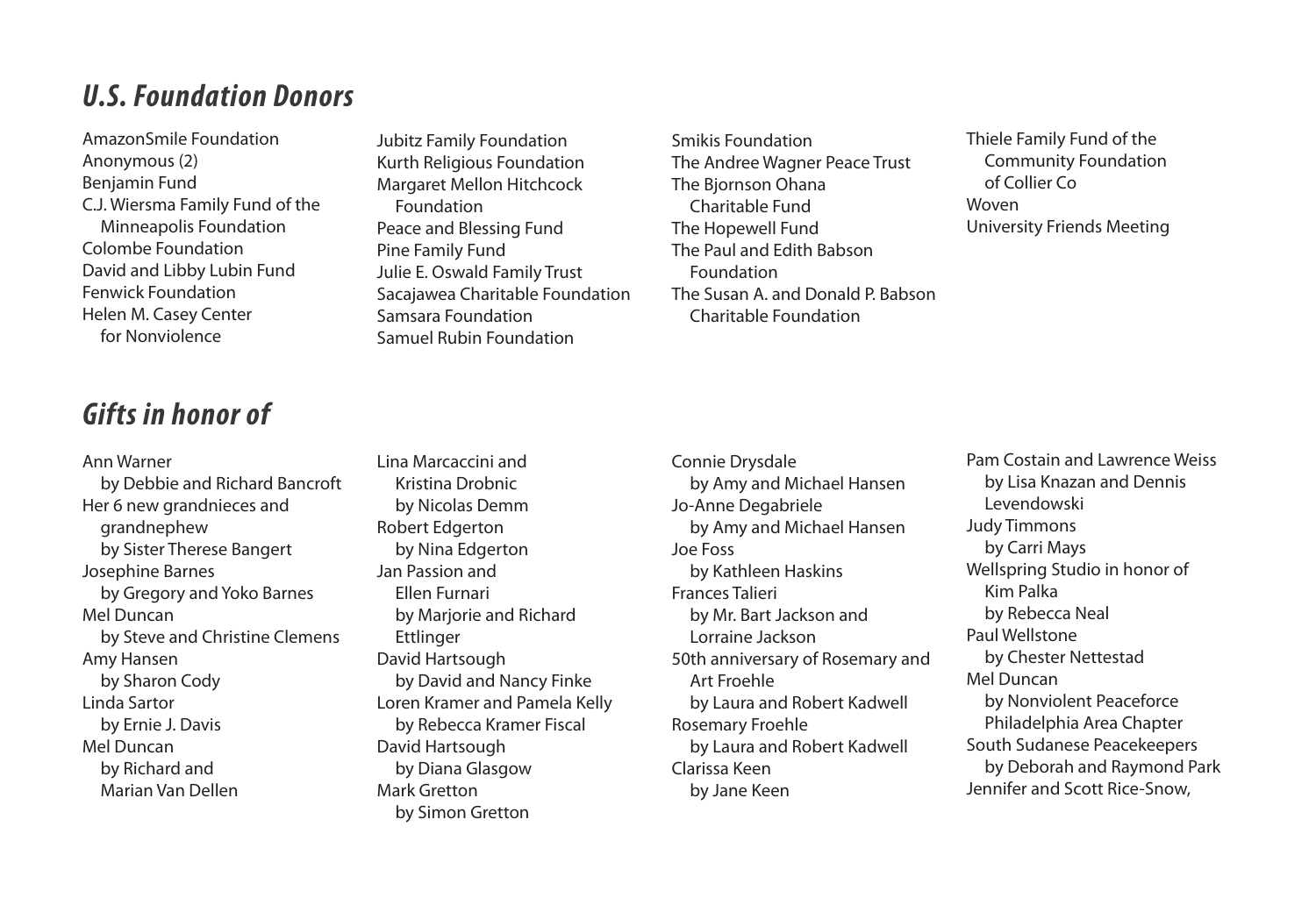#### *U.S. Foundation Donors*

AmazonSmile Foundation Anonymous (2) Benjamin Fund C.J. Wiersma Family Fund of the Minneapolis Foundation Colombe Foundation David and Libby Lubin Fund Fenwick Foundation Helen M. Casey Center for Nonviolence

## *Gifts in honor of*

Ann Warner by Debbie and Richard Bancroft Her 6 new grandnieces and grandnephew by Sister Therese Bangert Josephine Barnes by Gregory and Yoko Barnes Mel Duncan by Steve and Christine Clemens Amy Hansen by Sharon Cody Linda Sartor by Ernie J. Davis Mel Duncan by Richard and Marian Van Dellen

Jubitz Family Foundation Kurth Religious Foundation Margaret Mellon Hitchcock Foundation Peace and Blessing Fund Pine Family Fund Julie E. Oswald Family Trust Sacajawea Charitable Foundation Samsara Foundation Samuel Rubin Foundation

Smikis Foundation The Andree Wagner Peace Trust The Bjornson Ohana Charitable Fund The Hopewell Fund The Paul and Edith Babson Foundation The Susan A. and Donald P. Babson Charitable Foundation

Thiele Family Fund of the Community Foundation of Collier Co Woven University Friends Meeting

Lina Marcaccini and Kristina Drobnic by Nicolas Demm Robert Edgerton by Nina Edgerton Jan Passion and Ellen Furnari by Marjorie and Richard Ettlinger David Hartsough by David and Nancy Finke Loren Kramer and Pamela Kelly by Rebecca Kramer Fiscal David Hartsough by Diana Glasgow Mark Gretton by Simon Gretton

Connie Drysdale by Amy and Michael Hansen Jo-Anne Degabriele by Amy and Michael Hansen Joe Foss by Kathleen Haskins Frances Talieri by Mr. Bart Jackson and Lorraine Jackson 50th anniversary of Rosemary and Art Froehle by Laura and Robert Kadwell Rosemary Froehle by Laura and Robert Kadwell Clarissa Keen by Jane Keen

Pam Costain and Lawrence Weiss by Lisa Knazan and Dennis Levendowski Judy Timmons by Carri Mays Wellspring Studio in honor of Kim Palka by Rebecca Neal Paul Wellstone by Chester Nettestad Mel Duncan by Nonviolent Peaceforce Philadelphia Area Chapter South Sudanese Peacekeepers by Deborah and Raymond Park Jennifer and Scott Rice-Snow,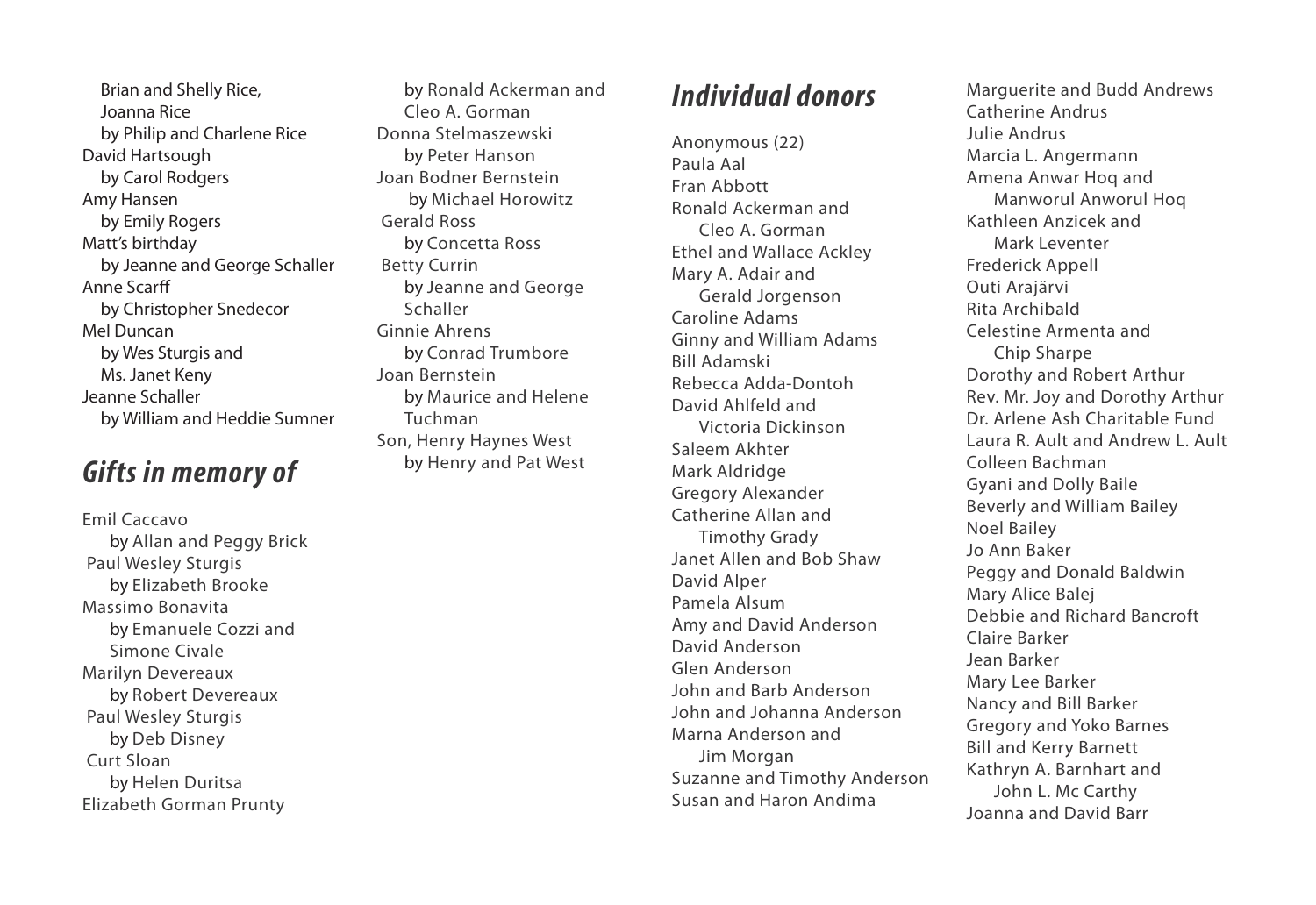Brian and Shelly Rice, Joanna Rice by Philip and Charlene Rice David Hartsough by Carol Rodgers Amy Hansen by Emily Rogers Matt's birthday by Jeanne and George Schaller Anne Scarff by Christopher Snedecor Mel Duncan by Wes Sturgis and Ms. Janet Keny Jeanne Schaller by William and Heddie Sumner

### *Gifts in memory of*

Emil Caccavo by Allan and Peggy Brick Paul Wesley Sturgis by Elizabeth Brooke Massimo Bonavita by Emanuele Cozzi and Simone Civale Marilyn Devereaux by Robert Devereaux Paul Wesley Sturgis by Deb Disney Curt Sloan by Helen Duritsa Elizabeth Gorman Prunty

by Ronald Ackerman and Cleo A. Gorman Donna Stelmaszewski by Peter Hanson Joan Bodner Bernstein by Michael Horowitz Gerald Ross by Concetta Ross Betty Currin by Jeanne and George Schaller Ginnie Ahrens by Conrad Trumbore Joan Bernstein by Maurice and Helene Tuchman Son, Henry Haynes West by Henry and Pat West

### *Individual donors*

Anonymous (22) Paula Aal Fran Abbott Ronald Ackerman and Cleo A. Gorman Ethel and Wallace Ackley Mary A. Adair and Gerald Jorgenson Caroline Adams Ginny and William Adams Bill Adamski Rebecca Adda-Dontoh David Ahlfeld and Victoria Dickinson Saleem Akhter Mark Aldridge Gregory Alexander Catherine Allan and Timothy Grady Janet Allen and Bob Shaw David Alper Pamela Alsum Amy and David Anderson David Anderson Glen Anderson John and Barb Anderson John and Johanna Anderson Marna Anderson and Jim Morgan Suzanne and Timothy Anderson Susan and Haron Andima

Marguerite and Budd Andrews Catherine Andrus Julie Andrus Marcia L. Angermann Amena Anwar Hoq and Manworul Anworul Hoq Kathleen Anzicek and Mark Leventer Frederick Appell Outi Arajärvi Rita Archibald Celestine Armenta and Chip Sharpe Dorothy and Robert Arthur Rev. Mr. Joy and Dorothy Arthur Dr. Arlene Ash Charitable Fund Laura R. Ault and Andrew L. Ault Colleen Bachman Gyani and Dolly Baile Beverly and William Bailey Noel Bailey Jo Ann Baker Peggy and Donald Baldwin Mary Alice Balej Debbie and Richard Bancroft Claire Barker Jean Barker Mary Lee Barker Nancy and Bill Barker Gregory and Yoko Barnes Bill and Kerry Barnett Kathryn A. Barnhart and John L. Mc Carthy Joanna and David Barr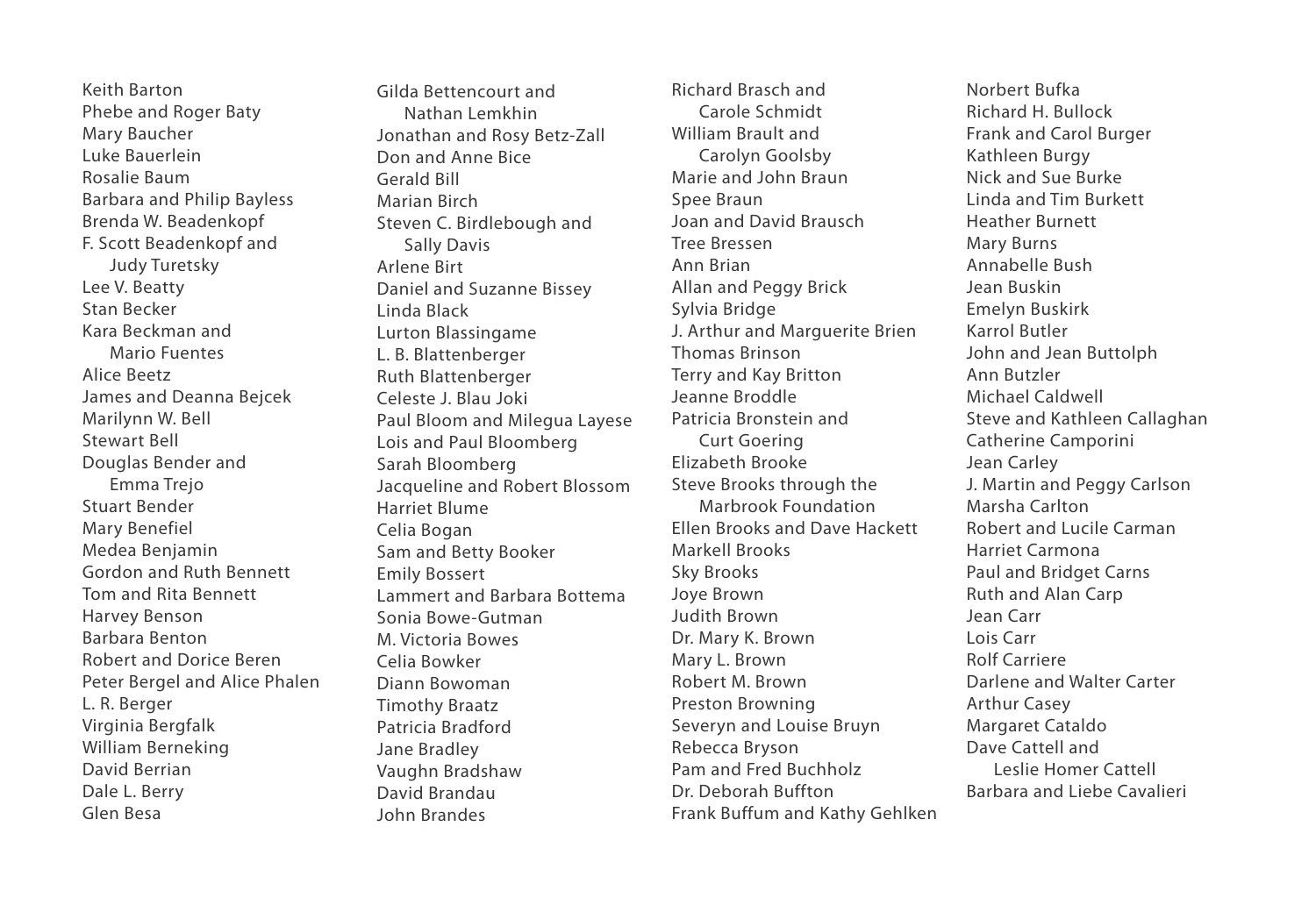Keith Barton Phebe and Roger Baty Mary Baucher Luke Bauerlein Rosalie Baum Barbara and Philip Bayless Brenda W. Beadenkopf F. Scott Beadenkopf and Judy Turetsky Lee V. Beatty Stan Becker Kara Beckman and Mario Fuentes Alice Beetz James and Deanna Bejcek Marilynn W. Bell Stewart Bell Douglas Bender and Emma Trejo Stuart Bender Mary Benefiel Medea Benjamin Gordon and Ruth Bennett Tom and Rita Bennett Harvey Benson Barbara Benton Robert and Dorice Beren Peter Bergel and Alice Phalen L. R. Berger Virginia Bergfalk William Berneking David Berrian Dale L. Berry Glen Besa

Gilda Bettencourt and Nathan Lemkhin Jonathan and Rosy Betz-Zall Don and Anne Bice Gerald Bill Marian Birch Steven C. Birdlebough and Sally Davis Arlene Birt Daniel and Suzanne Bissey Linda Black Lurton Blassingame L. B. Blattenberger Ruth Blattenberger Celeste J. Blau Joki Paul Bloom and Milegua Layese Lois and Paul Bloomberg Sarah Bloomberg Jacqueline and Robert Blossom Harriet Blume Celia Bogan Sam and Betty Booker Emily Bossert Lammert and Barbara Bottema Sonia Bowe-Gutman M. Victoria Bowes Celia Bowker Diann Bowoman Timothy Braatz Patricia Bradford Jane Bradley Vaughn Bradshaw David Brandau John Brandes

Richard Brasch and Carole Schmidt William Brault and Carolyn Goolsby Marie and John Braun Spee Braun Joan and David Brausch Tree Bressen Ann Brian Allan and Peggy Brick Sylvia Bridge J. Arthur and Marguerite Brien Thomas Brinson Terry and Kay Britton Jeanne Broddle Patricia Bronstein and Curt Goering Elizabeth Brooke Steve Brooks through the Marbrook Foundation Ellen Brooks and Dave Hackett Markell Brooks Sky Brooks Joye Brown Judith Brown Dr. Mary K. Brown Mary L. Brown Robert M. Brown Preston Browning Severyn and Louise Bruyn Rebecca Bryson Pam and Fred Buchholz Dr. Deborah Buffton Frank Buffum and Kathy Gehlken

Norbert Bufka Richard H. Bullock Frank and Carol Burger Kathleen Burgy Nick and Sue Burke Linda and Tim Burkett Heather Burnett Mary Burns Annabelle Bush Jean Buskin Emelyn Buskirk Karrol Butler John and Jean Buttolph Ann Butzler Michael Caldwell Steve and Kathleen Callaghan Catherine Camporini Jean Carley J. Martin and Peggy Carlson Marsha Carlton Robert and Lucile Carman Harriet Carmona Paul and Bridget Carns Ruth and Alan Carp Jean Carr Lois Carr Rolf Carriere Darlene and Walter Carter Arthur Casey Margaret Cataldo Dave Cattell and Leslie Homer Cattell Barbara and Liebe Cavalieri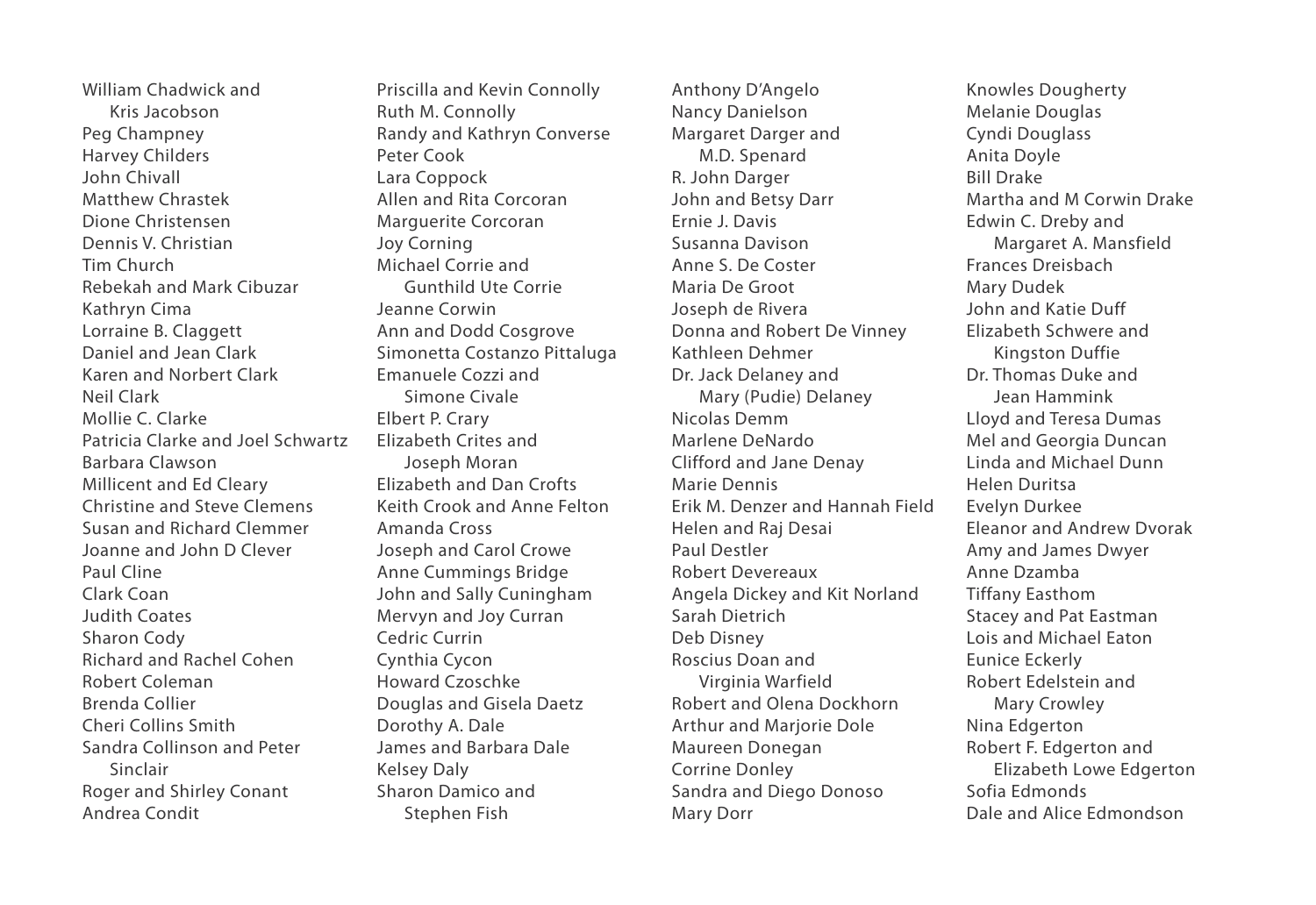William Chadwick and Kris Jacobson Peg Champney Harvey Childers John Chivall Matthew Chrastek Dione Christensen Dennis V. Christian Tim Church Rebekah and Mark Cibuzar Kathryn Cima Lorraine B. Claggett Daniel and Jean Clark Karen and Norbert Clark Neil Clark Mollie C. Clarke Patricia Clarke and Joel Schwartz Barbara Clawson Millicent and Ed Cleary Christine and Steve Clemens Susan and Richard Clemmer Joanne and John D Clever Paul Cline Clark Coan Judith Coates Sharon Cody Richard and Rachel Cohen Robert Coleman Brenda Collier Cheri Collins Smith Sandra Collinson and Peter Sinclair Roger and Shirley Conant Andrea Condit

Priscilla and Kevin Connolly Ruth M. Connolly Randy and Kathryn Converse Peter Cook Lara Coppock Allen and Rita Corcoran Marguerite Corcoran Joy Corning Michael Corrie and Gunthild Ute Corrie Jeanne Corwin Ann and Dodd Cosgrove Simonetta Costanzo Pittaluga Emanuele Cozzi and Simone Civale Elbert P. Crary Elizabeth Crites and Joseph Moran Elizabeth and Dan Crofts Keith Crook and Anne Felton Amanda Cross Joseph and Carol Crowe Anne Cummings Bridge John and Sally Cuningham Mervyn and Joy Curran Cedric Currin Cynthia Cycon Howard Czoschke Douglas and Gisela Daetz Dorothy A. Dale James and Barbara Dale Kelsey Daly Sharon Damico and Stephen Fish

Anthony D'Angelo Nancy Danielson Margaret Darger and M.D. Spenard R. John Darger John and Betsy Darr Ernie J. Davis Susanna Davison Anne S. De Coster Maria De Groot Joseph de Rivera Donna and Robert De Vinney Kathleen Dehmer Dr. Jack Delaney and Mary (Pudie) Delaney Nicolas Demm Marlene DeNardo Clifford and Jane Denay Marie Dennis Erik M. Denzer and Hannah Field Helen and Raj Desai Paul Destler Robert Devereaux Angela Dickey and Kit Norland Sarah Dietrich Deb Disney Roscius Doan and Virginia Warfield Robert and Olena Dockhorn Arthur and Marjorie Dole Maureen Donegan Corrine Donley Sandra and Diego Donoso Mary Dorr

Knowles Dougherty Melanie Douglas Cyndi Douglass Anita Doyle Bill Drake Martha and M Corwin Drake Edwin C. Dreby and Margaret A. Mansfield Frances Dreisbach Mary Dudek John and Katie Duff Elizabeth Schwere and Kingston Duffie Dr. Thomas Duke and Jean Hammink Lloyd and Teresa Dumas Mel and Georgia Duncan Linda and Michael Dunn Helen Duritsa Evelyn Durkee Eleanor and Andrew Dvorak Amy and James Dwyer Anne Dzamba Tiffany Easthom Stacey and Pat Eastman Lois and Michael Eaton Eunice Eckerly Robert Edelstein and Mary Crowley Nina Edgerton Robert F. Edgerton and Elizabeth Lowe Edgerton Sofia Edmonds Dale and Alice Edmondson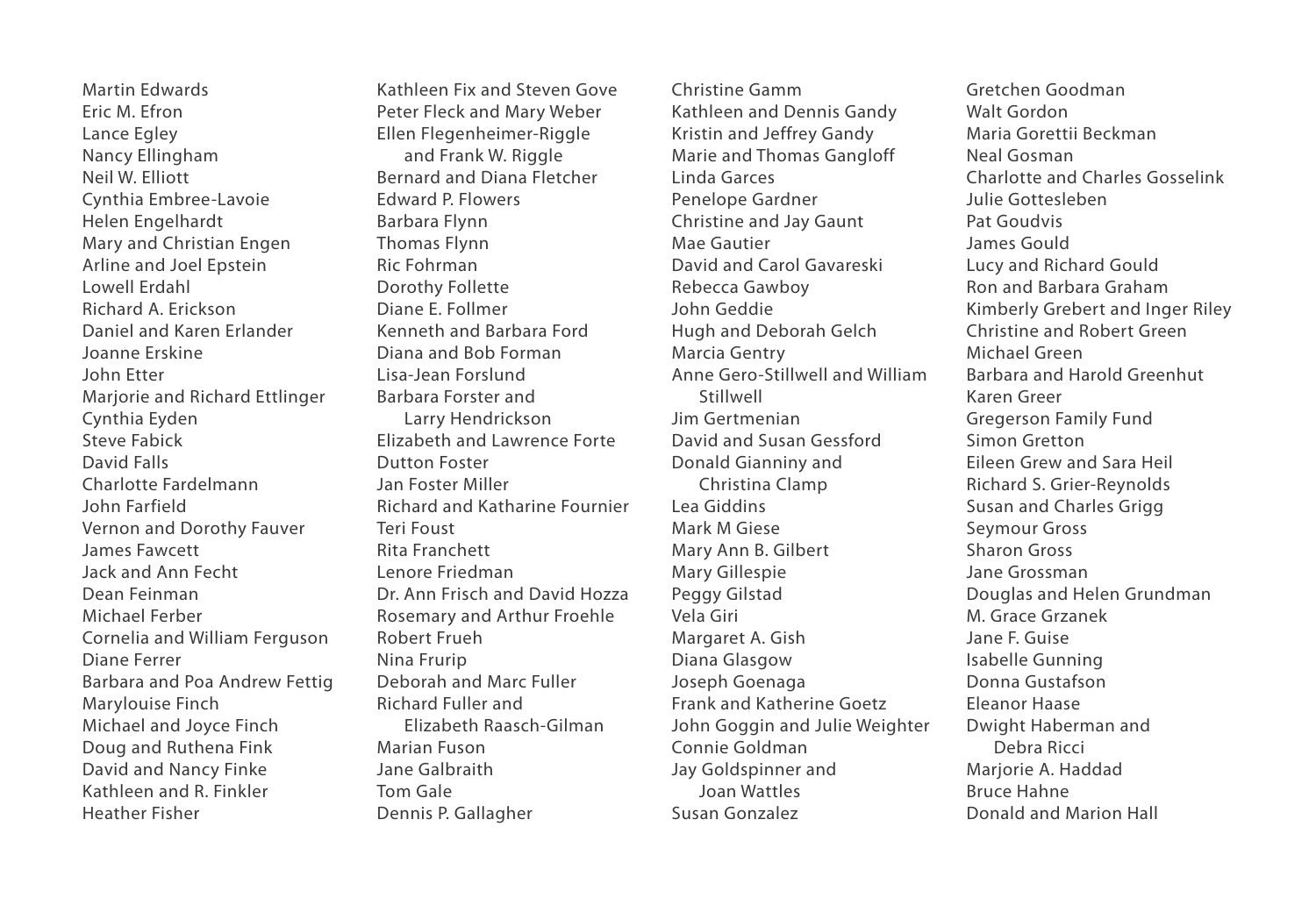Martin Edwards Eric M. Efron Lance Egley Nancy Ellingham Neil W. Elliott Cynthia Embree-Lavoie Helen Engelhardt Mary and Christian Engen Arline and Joel Epstein Lowell Erdahl Richard A. Erickson Daniel and Karen Erlander Joanne Erskine John Etter Marjorie and Richard Ettlinger Cynthia Eyden Steve Fabick David Falls Charlotte Fardelmann John Farfield Vernon and Dorothy Fauver James Fawcett Jack and Ann Fecht Dean Feinman Michael Ferber Cornelia and William Ferguson Diane Ferrer Barbara and Poa Andrew Fettig Marylouise Finch Michael and Joyce Finch Doug and Ruthena Fink David and Nancy Finke Kathleen and R. Finkler Heather Fisher

Kathleen Fix and Steven Gove Peter Fleck and Mary Weber Ellen Flegenheimer-Riggle and Frank W. Riggle Bernard and Diana Fletcher Edward P. Flowers Barbara Flynn Thomas Flynn Ric Fohrman Dorothy Follette Diane E. Follmer Kenneth and Barbara Ford Diana and Bob Forman Lisa-Jean Forslund Barbara Forster and Larry Hendrickson Elizabeth and Lawrence Forte Dutton Foster Jan Foster Miller Richard and Katharine Fournier Teri Foust Rita Franchett Lenore Friedman Dr. Ann Frisch and David Hozza Rosemary and Arthur Froehle Robert Frueh Nina Frurip Deborah and Marc Fuller Richard Fuller and Elizabeth Raasch-Gilman Marian Fuson Jane Galbraith Tom Gale Dennis P. Gallagher

Christine Gamm Kathleen and Dennis Gandy Kristin and Jeffrey Gandy Marie and Thomas Gangloff Linda Garces Penelope Gardner Christine and Jay Gaunt Mae Gautier David and Carol Gavareski Rebecca Gawboy John Geddie Hugh and Deborah Gelch Marcia Gentry Anne Gero-Stillwell and William Stillwell Jim Gertmenian David and Susan Gessford Donald Gianniny and Christina Clamp Lea Giddins Mark M Giese Mary Ann B. Gilbert Mary Gillespie Peggy Gilstad Vela Giri Margaret A. Gish Diana Glasgow Joseph Goenaga Frank and Katherine Goetz John Goggin and Julie Weighter Connie Goldman Jay Goldspinner and Joan Wattles Susan Gonzalez

Gretchen Goodman Walt Gordon Maria Gorettii Beckman Neal Gosman Charlotte and Charles Gosselink Julie Gottesleben Pat Goudvis James Gould Lucy and Richard Gould Ron and Barbara Graham Kimberly Grebert and Inger Riley Christine and Robert Green Michael Green Barbara and Harold Greenhut Karen Greer Gregerson Family Fund Simon Gretton Eileen Grew and Sara Heil Richard S. Grier-Reynolds Susan and Charles Grigg Seymour Gross Sharon Gross Jane Grossman Douglas and Helen Grundman M. Grace Grzanek Jane F. Guise Isabelle Gunning Donna Gustafson Eleanor Haase Dwight Haberman and Debra Ricci Marjorie A. Haddad Bruce Hahne Donald and Marion Hall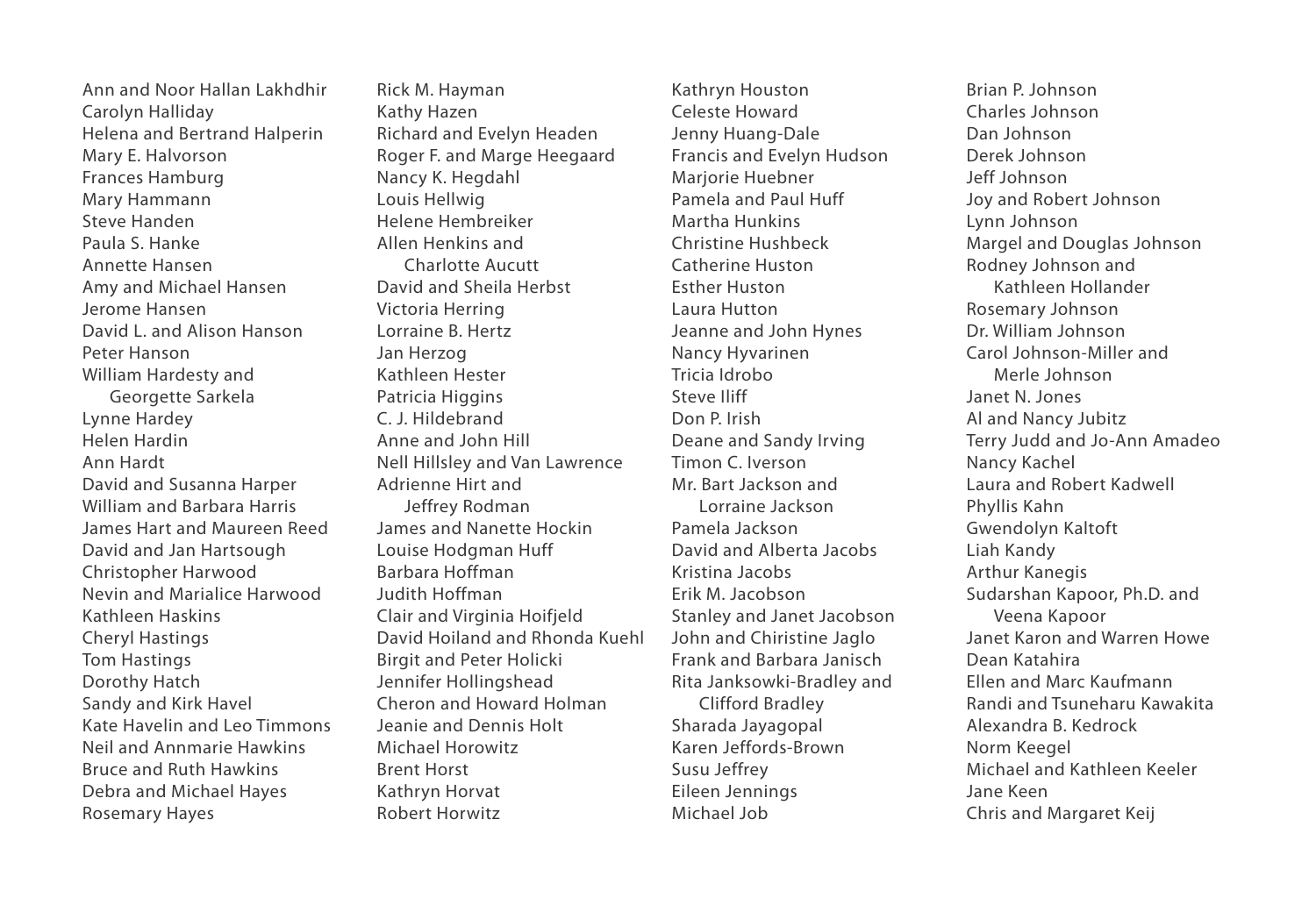Ann and Noor Hallan Lakhdhir Carolyn Halliday Helena and Bertrand Halperin Mary E. Halvorson Frances Hamburg Mary Hammann Steve Handen Paula S. Hanke Annette Hansen Amy and Michael Hansen Jerome Hansen David L. and Alison Hanson Peter Hanson William Hardesty and Georgette Sarkela Lynne Hardey Helen Hardin Ann Hardt David and Susanna Harper William and Barbara Harris James Hart and Maureen Reed David and Jan Hartsough Christopher Harwood Nevin and Marialice Harwood Kathleen Haskins Cheryl Hastings Tom Hastings Dorothy Hatch Sandy and Kirk Havel Kate Havelin and Leo Timmons Neil and Annmarie Hawkins Bruce and Ruth Hawkins Debra and Michael Hayes Rosemary Hayes

Rick M. Hayman Kathy Hazen Richard and Evelyn Headen Roger F. and Marge Heegaard Nancy K. Hegdahl Louis Hellwig Helene Hembreiker Allen Henkins and Charlotte Aucutt David and Sheila Herbst Victoria Herring Lorraine B. Hertz Jan Herzog Kathleen Hester Patricia Higgins C. J. Hildebrand Anne and John Hill Nell Hillsley and Van Lawrence Adrienne Hirt and Jeffrey Rodman James and Nanette Hockin Louise Hodgman Huff Barbara Hoffman Judith Hoffman Clair and Virginia Hoifjeld David Hoiland and Rhonda Kuehl Birgit and Peter Holicki Jennifer Hollingshead Cheron and Howard Holman Jeanie and Dennis Holt Michael Horowitz Brent Horst Kathryn Horvat Robert Horwitz

Kathryn Houston Celeste Howard Jenny Huang-Dale Francis and Evelyn Hudson Marjorie Huebner Pamela and Paul Huff Martha Hunkins Christine Hushbeck Catherine Huston Esther Huston Laura Hutton Jeanne and John Hynes Nancy Hyvarinen Tricia Idrobo Steve Iliff Don P. Irish Deane and Sandy Irving Timon C. Iverson Mr. Bart Jackson and Lorraine Jackson Pamela Jackson David and Alberta Jacobs Kristina Jacobs Erik M. Jacobson Stanley and Janet Jacobson John and Chiristine Jaglo Frank and Barbara Janisch Rita Janksowki-Bradley and Clifford Bradley Sharada Jayagopal Karen Jeffords-Brown Susu Jeffrey Eileen Jennings Michael Job

Brian P. Johnson Charles Johnson Dan Johnson Derek Johnson Jeff Johnson Joy and Robert Johnson Lynn Johnson Margel and Douglas Johnson Rodney Johnson and Kathleen Hollander Rosemary Johnson Dr. William Johnson Carol Johnson-Miller and Merle Johnson Janet N. Jones Al and Nancy Jubitz Terry Judd and Jo-Ann Amadeo Nancy Kachel Laura and Robert Kadwell Phyllis Kahn Gwendolyn Kaltoft Liah Kandy Arthur Kanegis Sudarshan Kapoor, Ph.D. and Veena Kapoor Janet Karon and Warren Howe Dean Katahira Ellen and Marc Kaufmann Randi and Tsuneharu Kawakita Alexandra B. Kedrock Norm Keegel Michael and Kathleen Keeler Jane Keen Chris and Margaret Keij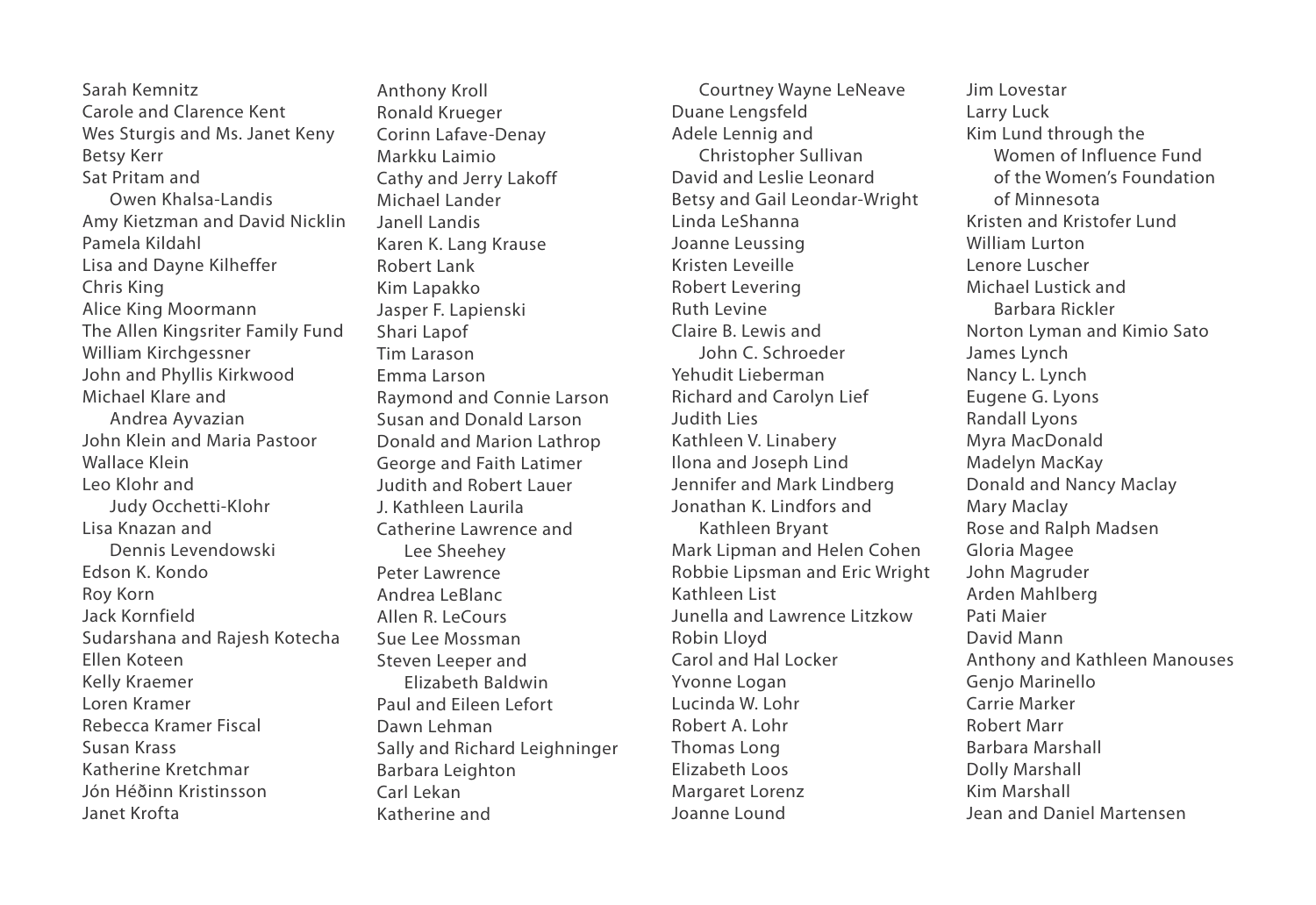Sarah Kemnitz Carole and Clarence Kent Wes Sturgis and Ms. Janet Keny Betsy Kerr Sat Pritam and Owen Khalsa-Landis Amy Kietzman and David Nicklin Pamela Kildahl Lisa and Dayne Kilheffer Chris King Alice King Moormann The Allen Kingsriter Family Fund William Kirchgessner John and Phyllis Kirkwood Michael Klare and Andrea Ayvazian John Klein and Maria Pastoor Wallace Klein Leo Klohr and Judy Occhetti-Klohr Lisa Knazan and Dennis Levendowski Edson K. Kondo Roy Korn Jack Kornfield Sudarshana and Rajesh Kotecha Ellen Koteen Kelly Kraemer Loren Kramer Rebecca Kramer Fiscal Susan Krass Katherine Kretchmar Jón Héðinn Kristinsson Janet Krofta

Anthony Kroll Ronald Krueger Corinn Lafave-Denay Markku Laimio Cathy and Jerry Lakoff Michael Lander Janell Landis Karen K. Lang Krause Robert Lank Kim Lapakko Jasper F. Lapienski Shari Lapof Tim Larason Emma Larson Raymond and Connie Larson Susan and Donald Larson Donald and Marion Lathrop George and Faith Latimer Judith and Robert Lauer J. Kathleen Laurila Catherine Lawrence and Lee Sheehey Peter Lawrence Andrea LeBlanc Allen R. LeCours Sue Lee Mossman Steven Leeper and Elizabeth Baldwin Paul and Eileen Lefort Dawn Lehman Sally and Richard Leighninger Barbara Leighton Carl Lekan Katherine and

Courtney Wayne LeNeave Duane Lengsfeld Adele Lennig and Christopher Sullivan David and Leslie Leonard Betsy and Gail Leondar-Wright Linda LeShanna Joanne Leussing Kristen Leveille Robert Levering Ruth Levine Claire B. Lewis and John C. Schroeder Yehudit Lieberman Richard and Carolyn Lief Judith Lies Kathleen V. Linabery Ilona and Joseph Lind Jennifer and Mark Lindberg Jonathan K. Lindfors and Kathleen Bryant Mark Lipman and Helen Cohen Robbie Lipsman and Eric Wright Kathleen List Junella and Lawrence Litzkow Robin Lloyd Carol and Hal Locker Yvonne Logan Lucinda W. Lohr Robert A. Lohr Thomas Long Elizabeth Loos Margaret Lorenz Joanne Lound

Jim Lovestar Larry Luck Kim Lund through the Women of Influence Fund of the Women's Foundation of Minnesota Kristen and Kristofer Lund William Lurton Lenore Luscher Michael Lustick and Barbara Rickler Norton Lyman and Kimio Sato James Lynch Nancy L. Lynch Eugene G. Lyons Randall Lyons Myra MacDonald Madelyn MacKay Donald and Nancy Maclay Mary Maclay Rose and Ralph Madsen Gloria Magee John Magruder Arden Mahlberg Pati Maier David Mann Anthony and Kathleen Manouses Genjo Marinello Carrie Marker Robert Marr Barbara Marshall Dolly Marshall Kim Marshall Jean and Daniel Martensen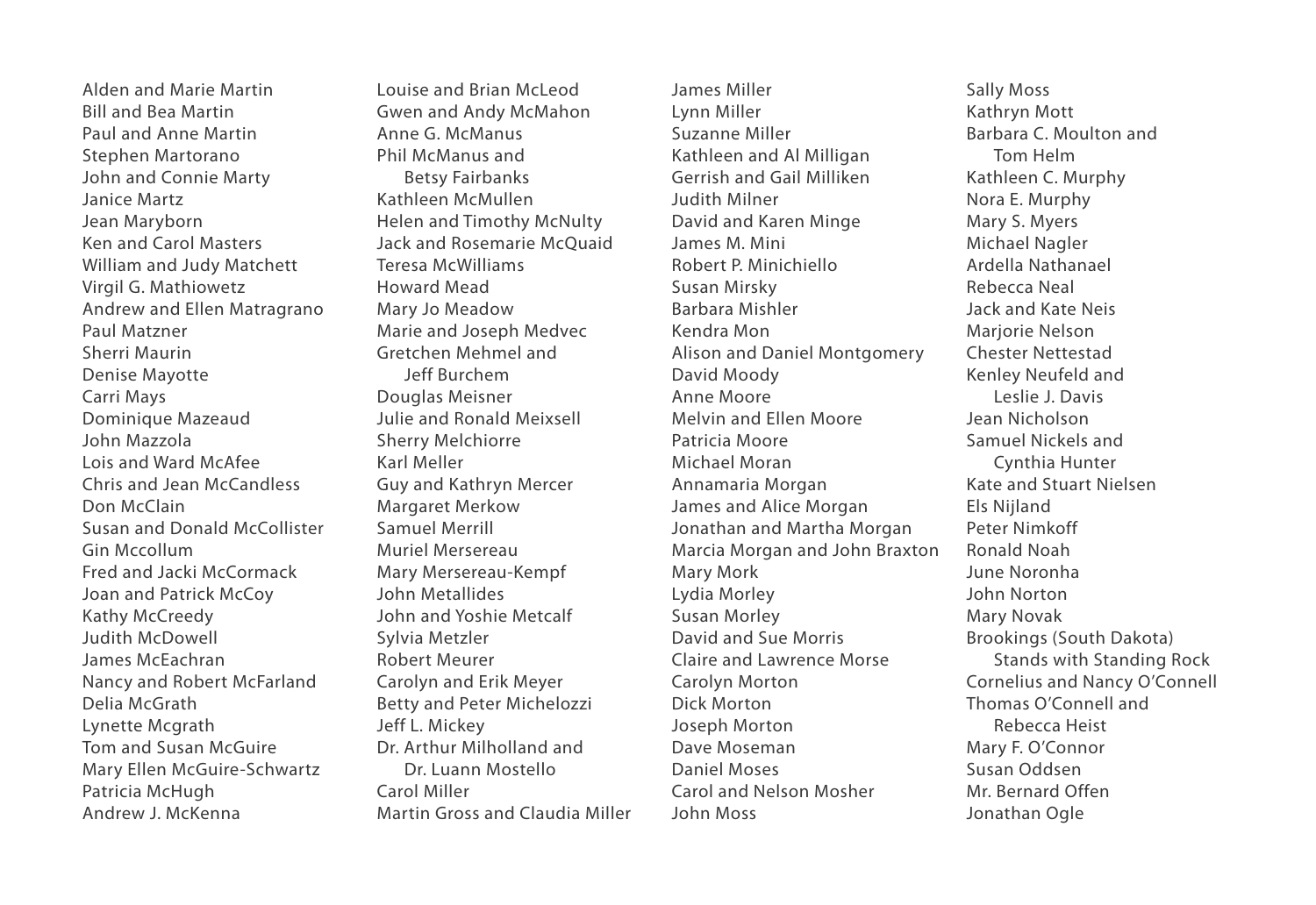Alden and Marie Martin Bill and Bea Martin Paul and Anne Martin Stephen Martorano John and Connie Marty Janice Martz Jean Maryborn Ken and Carol Masters William and Judy Matchett Virgil G. Mathiowetz Andrew and Ellen Matragrano Paul Matzner Sherri Maurin Denise Mayotte Carri Mays Dominique Mazeaud John Mazzola Lois and Ward McAfee Chris and Jean McCandless Don McClain Susan and Donald McCollister Gin Mccollum Fred and Jacki McCormack Joan and Patrick McCoy Kathy McCreedy Judith McDowell James McEachran Nancy and Robert McFarland Delia McGrath Lynette Mcgrath Tom and Susan McGuire Mary Ellen McGuire-Schwartz Patricia McHugh Andrew J. McKenna

Louise and Brian McLeod Gwen and Andy McMahon Anne G. McManus Phil McManus and Betsy Fairbanks Kathleen McMullen Helen and Timothy McNulty Jack and Rosemarie McQuaid Teresa McWilliams Howard Mead Mary Jo Meadow Marie and Joseph Medvec Gretchen Mehmel and Jeff Burchem Douglas Meisner Julie and Ronald Meixsell Sherry Melchiorre Karl Meller Guy and Kathryn Mercer Margaret Merkow Samuel Merrill Muriel Mersereau Mary Mersereau-Kempf John Metallides John and Yoshie Metcalf Sylvia Metzler Robert Meurer Carolyn and Erik Meyer Betty and Peter Michelozzi Jeff L. Mickey Dr. Arthur Milholland and Dr. Luann Mostello Carol Miller Martin Gross and Claudia Miller James Miller Lynn Miller Suzanne Miller Kathleen and Al Milligan Gerrish and Gail Milliken Judith Milner David and Karen Minge James M. Mini Robert P. Minichiello Susan Mirsky Barbara Mishler Kendra Mon Alison and Daniel Montgomery David Moody Anne Moore Melvin and Ellen Moore Patricia Moore Michael Moran Annamaria Morgan James and Alice Morgan Jonathan and Martha Morgan Marcia Morgan and John Braxton Mary Mork Lydia Morley Susan Morley David and Sue Morris Claire and Lawrence Morse Carolyn Morton Dick Morton Joseph Morton Dave Moseman Daniel Moses Carol and Nelson Mosher John Moss

Sally Moss Kathryn Mott Barbara C. Moulton and Tom Helm Kathleen C. Murphy Nora E. Murphy Mary S. Myers Michael Nagler Ardella Nathanael Rebecca Neal Jack and Kate Neis Mariorie Nelson Chester Nettestad Kenley Neufeld and Leslie J. Davis Jean Nicholson Samuel Nickels and Cynthia Hunter Kate and Stuart Nielsen Els Nijland Peter Nimkoff Ronald Noah June Noronha John Norton Mary Novak Brookings (South Dakota) Stands with Standing Rock Cornelius and Nancy O'Connell Thomas O'Connell and Rebecca Heist Mary F. O'Connor Susan Oddsen Mr. Bernard Offen Jonathan Ogle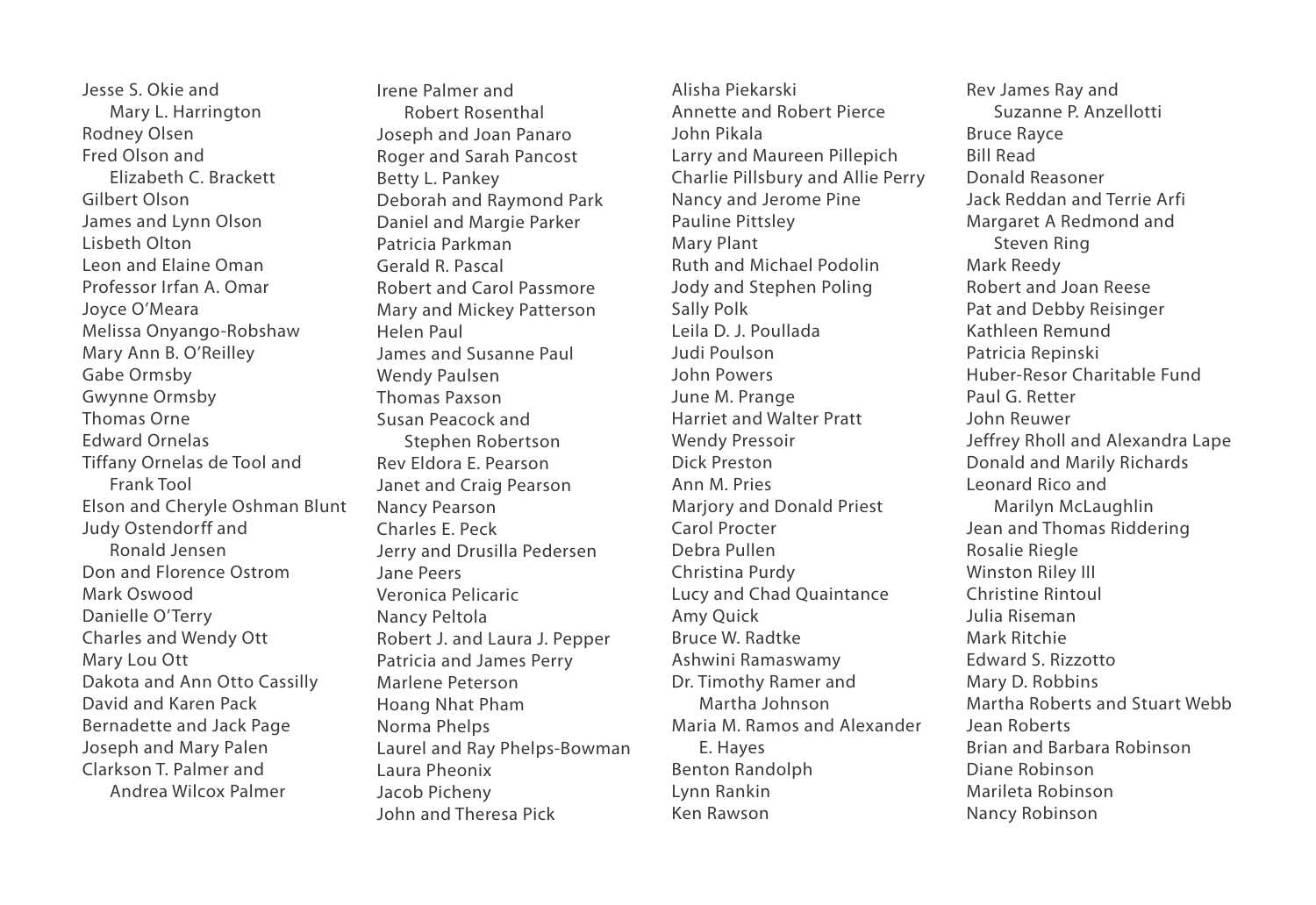Jesse S. Okie and Mary L. Harrington Rodney Olsen Fred Olson and Elizabeth C. Brackett Gilbert Olson James and Lynn Olson Lisbeth Olton Leon and Elaine Oman Professor Irfan A. Omar Joyce O'Meara Melissa Onyango-Robshaw Mary Ann B. O'Reilley Gabe Ormsby Gwynne Ormsby Thomas Orne Edward Ornelas Tiffany Ornelas de Tool and Frank Tool Elson and Cheryle Oshman Blunt Judy Ostendorff and Ronald Jensen Don and Florence Ostrom Mark Oswood Danielle O'Terry Charles and Wendy Ott Mary Lou Ott Dakota and Ann Otto Cassilly David and Karen Pack Bernadette and Jack Page Joseph and Mary Palen Clarkson T. Palmer and Andrea Wilcox Palmer

Irene Palmer and Robert Rosenthal Joseph and Joan Panaro Roger and Sarah Pancost Betty L. Pankey Deborah and Raymond Park Daniel and Margie Parker Patricia Parkman Gerald R. Pascal Robert and Carol Passmore Mary and Mickey Patterson Helen Paul James and Susanne Paul Wendy Paulsen Thomas Paxson Susan Peacock and Stephen Robertson Rev Eldora E. Pearson Janet and Craig Pearson Nancy Pearson Charles E. Peck Jerry and Drusilla Pedersen Jane Peers Veronica Pelicaric Nancy Peltola Robert J. and Laura J. Pepper Patricia and James Perry Marlene Peterson Hoang Nhat Pham Norma Phelps Laurel and Ray Phelps-Bowman Laura Pheonix Jacob Picheny John and Theresa Pick

Alisha Piekarski Annette and Robert Pierce John Pikala Larry and Maureen Pillepich Charlie Pillsbury and Allie Perry Nancy and Jerome Pine Pauline Pittsley Mary Plant Ruth and Michael Podolin Jody and Stephen Poling Sally Polk Leila D. J. Poullada Judi Poulson John Powers June M. Prange Harriet and Walter Pratt Wendy Pressoir Dick Preston Ann M. Pries Marjory and Donald Priest Carol Procter Debra Pullen Christina Purdy Lucy and Chad Quaintance Amy Quick Bruce W. Radtke Ashwini Ramaswamy Dr. Timothy Ramer and Martha Johnson Maria M. Ramos and Alexander E. Hayes Benton Randolph Lynn Rankin Ken Rawson

Rev James Ray and Suzanne P. Anzellotti Bruce Rayce Bill Read Donald Reasoner Jack Reddan and Terrie Arfi Margaret A Redmond and Steven Ring Mark Reedy Robert and Joan Reese Pat and Debby Reisinger Kathleen Remund Patricia Repinski Huber-Resor Charitable Fund Paul G. Retter John Reuwer Jeffrey Rholl and Alexandra Lape Donald and Marily Richards Leonard Rico and Marilyn McLaughlin Jean and Thomas Riddering Rosalie Riegle Winston Riley III Christine Rintoul Julia Riseman Mark Ritchie Edward S. Rizzotto Mary D. Robbins Martha Roberts and Stuart Webb Jean Roberts Brian and Barbara Robinson Diane Robinson Marileta Robinson Nancy Robinson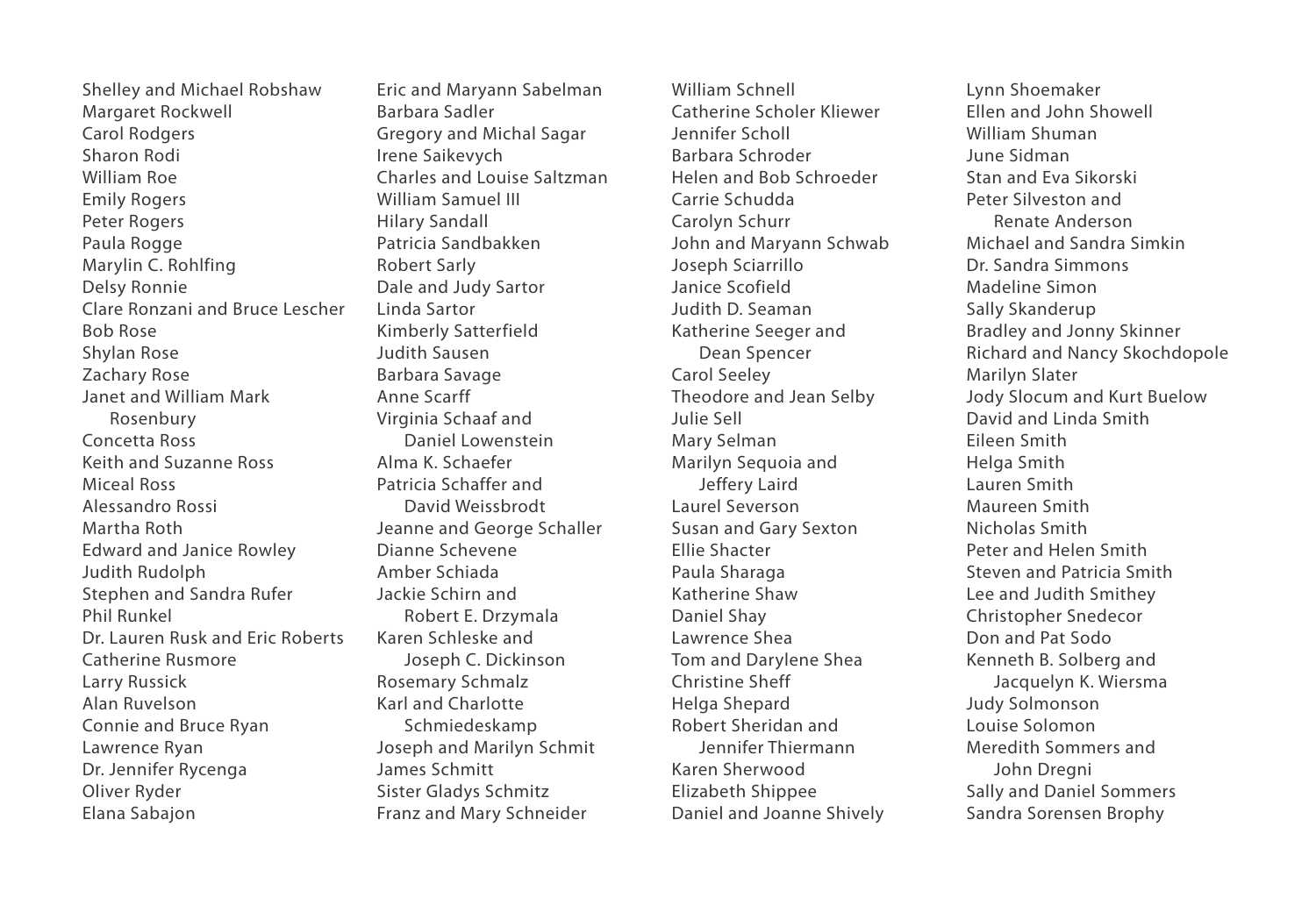Shelley and Michael Robshaw Margaret Rockwell Carol Rodgers Sharon Rodi William Roe Emily Rogers Peter Rogers Paula Rogge Marylin C. Rohlfing Delsy Ronnie Clare Ronzani and Bruce Lescher Bob Rose Shylan Rose Zachary Rose Janet and William Mark Rosenbury Concetta Ross Keith and Suzanne Ross Miceal Ross Alessandro Rossi Martha Roth Edward and Janice Rowley Judith Rudolph Stephen and Sandra Rufer Phil Runkel Dr. Lauren Rusk and Eric Roberts Catherine Rusmore Larry Russick Alan Ruvelson Connie and Bruce Ryan Lawrence Ryan Dr. Jennifer Rycenga Oliver Ryder Elana Sabajon

Eric and Maryann Sabelman Barbara Sadler Gregory and Michal Sagar Irene Saikevych Charles and Louise Saltzman William Samuel III Hilary Sandall Patricia Sandbakken Robert Sarly Dale and Judy Sartor Linda Sartor Kimberly Satterfield Judith Sausen Barbara Savage Anne Scarff Virginia Schaaf and Daniel Lowenstein Alma K. Schaefer Patricia Schaffer and David Weissbrodt Jeanne and George Schaller Dianne Schevene Amber Schiada Jackie Schirn and Robert E. Drzymala Karen Schleske and Joseph C. Dickinson Rosemary Schmalz Karl and Charlotte Schmiedeskamp Joseph and Marilyn Schmit James Schmitt Sister Gladys Schmitz Franz and Mary Schneider

William Schnell Catherine Scholer Kliewer Jennifer Scholl Barbara Schroder Helen and Bob Schroeder Carrie Schudda Carolyn Schurr John and Maryann Schwab Joseph Sciarrillo Janice Scofield Judith D. Seaman Katherine Seeger and Dean Spencer Carol Seeley Theodore and Jean Selby Julie Sell Mary Selman Marilyn Sequoia and Jeffery Laird Laurel Severson Susan and Gary Sexton Ellie Shacter Paula Sharaga Katherine Shaw Daniel Shay Lawrence Shea Tom and Darylene Shea Christine Sheff Helga Shepard Robert Sheridan and Jennifer Thiermann Karen Sherwood Elizabeth Shippee Daniel and Joanne Shively

Lynn Shoemaker Ellen and John Showell William Shuman June Sidman Stan and Eva Sikorski Peter Silveston and Renate Anderson Michael and Sandra Simkin Dr. Sandra Simmons Madeline Simon Sally Skanderup Bradley and Jonny Skinner Richard and Nancy Skochdopole Marilyn Slater Jody Slocum and Kurt Buelow David and Linda Smith Eileen Smith Helga Smith Lauren Smith Maureen Smith Nicholas Smith Peter and Helen Smith Steven and Patricia Smith Lee and Judith Smithey Christopher Snedecor Don and Pat Sodo Kenneth B. Solberg and Jacquelyn K. Wiersma Judy Solmonson Louise Solomon Meredith Sommers and John Dregni Sally and Daniel Sommers Sandra Sorensen Brophy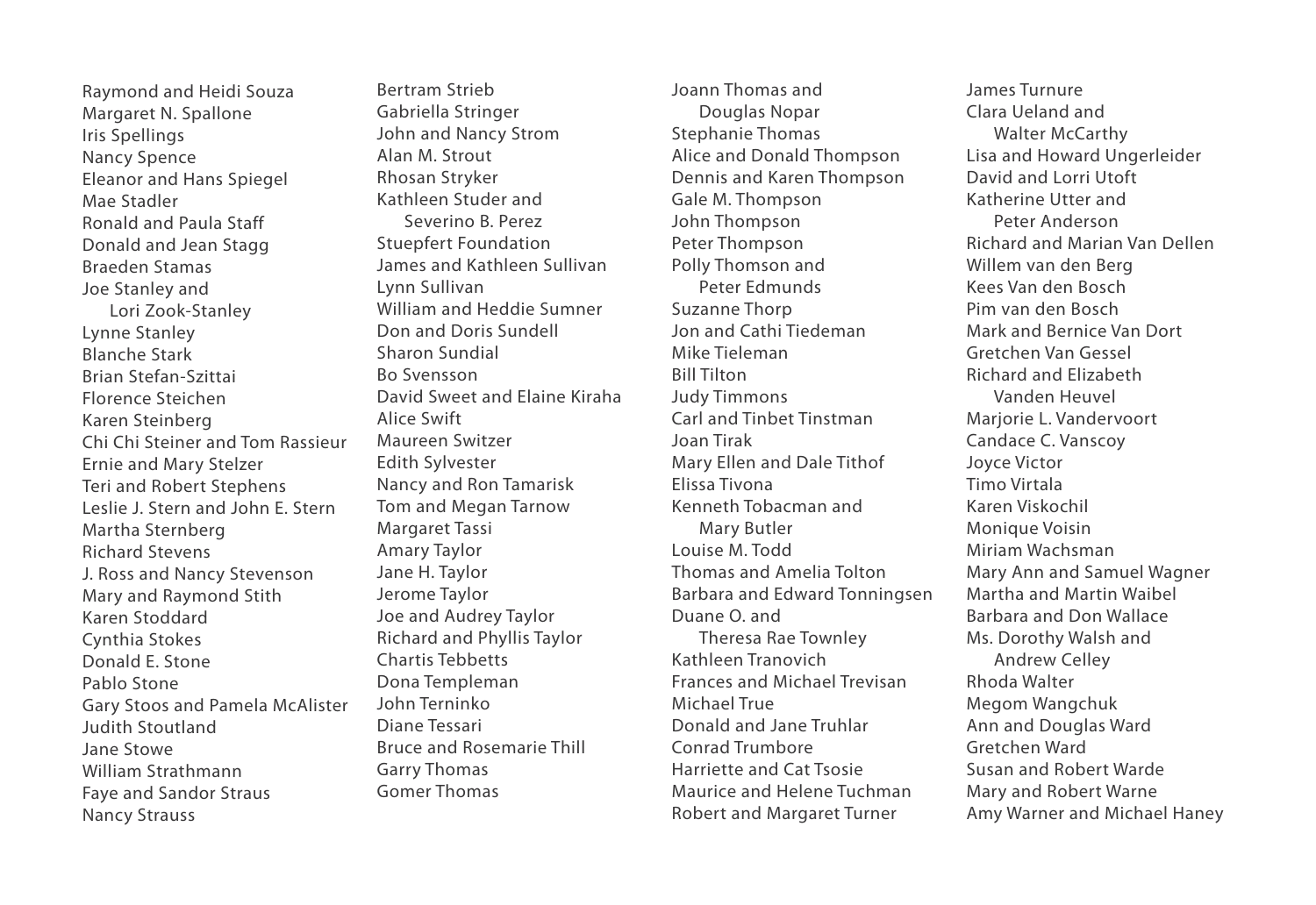Raymond and Heidi Souza Margaret N. Spallone Iris Spellings Nancy Spence Eleanor and Hans Spiegel Mae Stadler Ronald and Paula Staff Donald and Jean Stagg Braeden Stamas Joe Stanley and Lori Zook-Stanley Lynne Stanley Blanche Stark Brian Stefan-Szittai Florence Steichen Karen Steinberg Chi Chi Steiner and Tom Rassieur Ernie and Mary Stelzer Teri and Robert Stephens Leslie J. Stern and John E. Stern Martha Sternberg Richard Stevens J. Ross and Nancy Stevenson Mary and Raymond Stith Karen Stoddard Cynthia Stokes Donald E. Stone Pablo Stone Gary Stoos and Pamela McAlister Judith Stoutland Jane Stowe William Strathmann Faye and Sandor Straus Nancy Strauss

Bertram Strieb Gabriella Stringer John and Nancy Strom Alan M. Strout Rhosan Stryker Kathleen Studer and Severino B. Perez Stuepfert Foundation James and Kathleen Sullivan Lynn Sullivan William and Heddie Sumner Don and Doris Sundell Sharon Sundial Bo Svensson David Sweet and Elaine Kiraha Alice Swift Maureen Switzer Edith Sylvester Nancy and Ron Tamarisk Tom and Megan Tarnow Margaret Tassi Amary Taylor Jane H. Taylor Jerome Taylor Joe and Audrey Taylor Richard and Phyllis Taylor Chartis Tebbetts Dona Templeman John Terninko Diane Tessari Bruce and Rosemarie Thill Garry Thomas Gomer Thomas

Joann Thomas and Douglas Nopar Stephanie Thomas Alice and Donald Thompson Dennis and Karen Thompson Gale M. Thompson John Thompson Peter Thompson Polly Thomson and Peter Edmunds Suzanne Thorp Jon and Cathi Tiedeman Mike Tieleman Bill Tilton Judy Timmons Carl and Tinbet Tinstman Joan Tirak Mary Ellen and Dale Tithof Elissa Tivona Kenneth Tobacman and Mary Butler Louise M. Todd Thomas and Amelia Tolton Barbara and Edward Tonningsen Duane O. and Theresa Rae Townley Kathleen Tranovich Frances and Michael Trevisan Michael True Donald and Jane Truhlar Conrad Trumbore Harriette and Cat Tsosie Maurice and Helene Tuchman Robert and Margaret Turner

James Turnure Clara Ueland and Walter McCarthy Lisa and Howard Ungerleider David and Lorri Utoft Katherine Utter and Peter Anderson Richard and Marian Van Dellen Willem van den Berg Kees Van den Bosch Pim van den Bosch Mark and Bernice Van Dort Gretchen Van Gessel Richard and Elizabeth Vanden Heuvel Marjorie L. Vandervoort Candace C. Vanscoy Joyce Victor Timo Virtala Karen Viskochil Monique Voisin Miriam Wachsman Mary Ann and Samuel Wagner Martha and Martin Waibel Barbara and Don Wallace Ms. Dorothy Walsh and Andrew Celley Rhoda Walter Megom Wangchuk Ann and Douglas Ward Gretchen Ward Susan and Robert Warde Mary and Robert Warne Amy Warner and Michael Haney